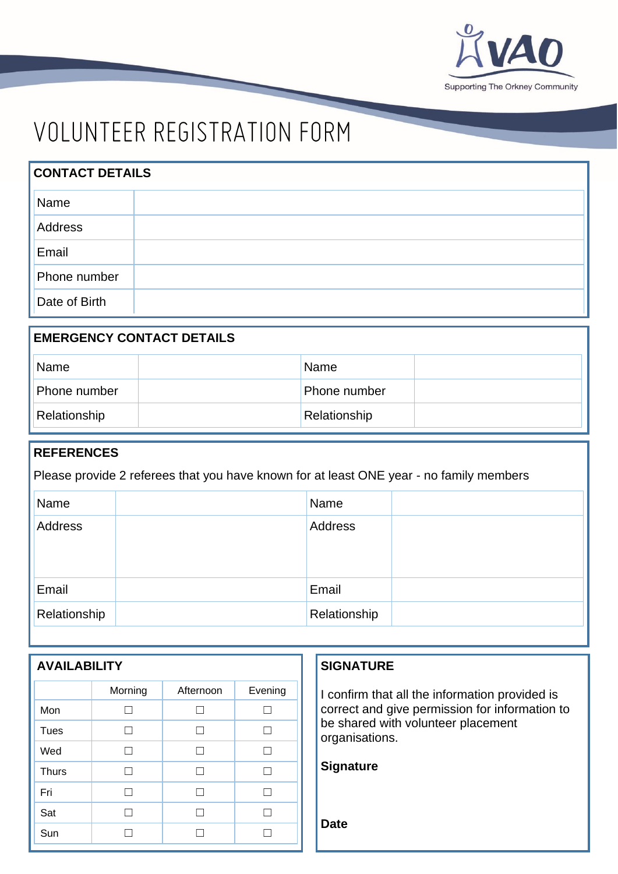

# VOLUNTEER REGISTRATION FORM

| <b>CONTACT DETAILS</b> |  |  |  |  |
|------------------------|--|--|--|--|
| Name                   |  |  |  |  |
| Address                |  |  |  |  |
| Email                  |  |  |  |  |
| Phone number           |  |  |  |  |
| Date of Birth          |  |  |  |  |

| <b>EMERGENCY CONTACT DETAILS</b> |  |              |  |  |
|----------------------------------|--|--------------|--|--|
| Name                             |  | Name         |  |  |
| Phone number                     |  | Phone number |  |  |
| Relationship                     |  | Relationship |  |  |

### **REFERENCES**

Please provide 2 referees that you have known for at least ONE year - no family members

| Name         | Name         |  |
|--------------|--------------|--|
| Address      | Address      |  |
|              |              |  |
|              |              |  |
| Email        | Email        |  |
| Relationship | Relationship |  |

| <b>AVAILABILITY</b> |               |              |         |  |  |
|---------------------|---------------|--------------|---------|--|--|
|                     | Morning       | Afternoon    | Evening |  |  |
| Mon                 | $\mathcal{L}$ | a s          | L.      |  |  |
| Tues                | ┓             | $\mathsf{L}$ | L       |  |  |
| Wed                 | П             | П            | П       |  |  |
| <b>Thurs</b>        | П             | П            | П       |  |  |
| Fri                 | ┓             | П            | П       |  |  |
| Sat                 | ┓             | П            | П       |  |  |
| Sun                 |               |              |         |  |  |

### **SIGNATURE**

I confirm that all the information provided is correct and give permission for information to be shared with volunteer placement organisations.

| <b>Signature</b> |
|------------------|
|------------------|

**Date**